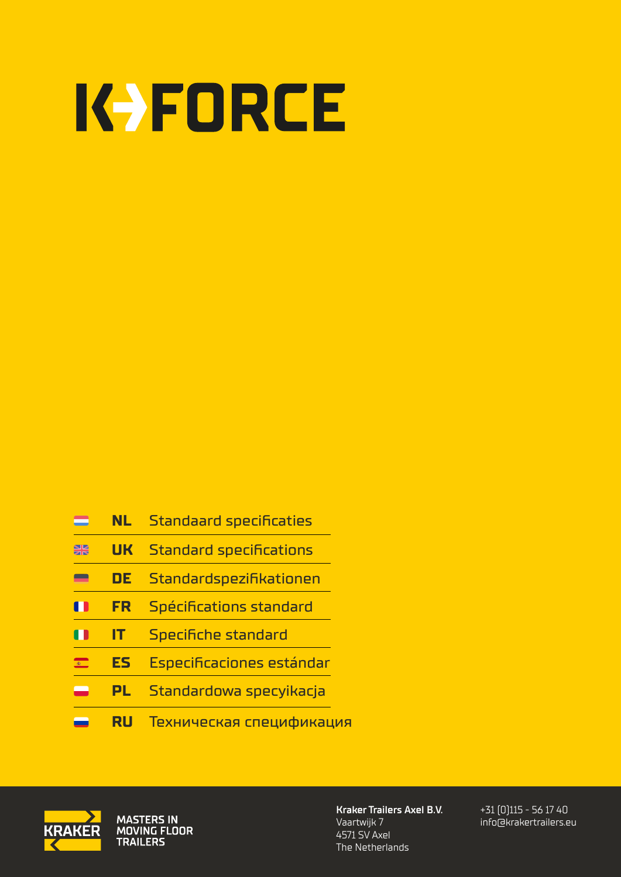# KYFORCE

- **NL** [Standaard specificaties](#page-1-0) = **SR UK** [Standard specifications](#page-2-0) **DE** [Standardspezifikationen](#page-3-0) -**FR** [Spécifications standard](#page-4-0)  $\blacksquare$ **IT** [Specifiche standard](#page-5-0) n **ES** [Especificaciones estándar](#page-6-0)   $\blacksquare$ **PL** [Standardowa specyikacja](#page-7-0)
	- **RU** [Техническая спецификация](#page-8-0)



MASTERS IN<br>MOVING FLOOR **TRAILERS** 

**Kraker Trailers Axel B.V.** Vaartwijk 7 4571 SV Axel The Netherlands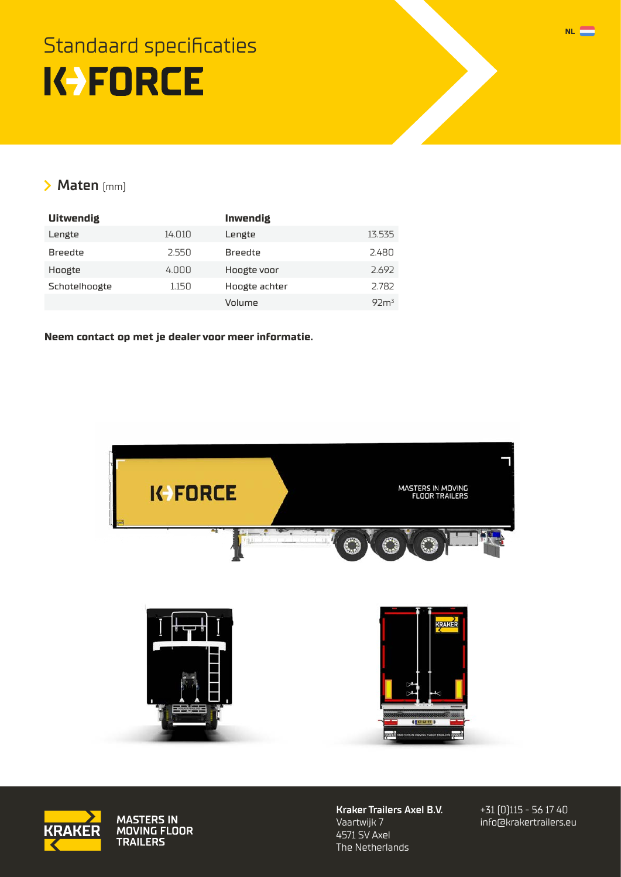## <span id="page-1-0"></span>Standaard specificaties K-FORCE

#### **Maten** (mm)

| <b>Uitwendig</b> |        | Inwendig       |                  |
|------------------|--------|----------------|------------------|
| Lengte           | 14.010 | Lengte         | 13.535           |
| <b>Breedte</b>   | 2.550  | <b>Breedte</b> | 2.480            |
| Hoogte           | 4.000  | Hoogte voor    | 2.692            |
| Schotelhoogte    | 1.150  | Hoogte achter  | 2.782            |
|                  |        | Volume         | 92m <sup>3</sup> |

**[Neem contact op met je dealer voor meer informatie.](http://krakertrailers.eu/nl/dealers/)**





MASTERS IN<br>MOVING FLOOR<br>TRAILERS

**Kraker Trailers Axel B.V.** Vaartwijk 7 4571 SV Axel The Netherlands

+31 (0)115 - 56 17 40 [info@krakertrailers.eu](mailto:info%40krakertrailers.eu?subject=K-Force%20Agri)

**NL**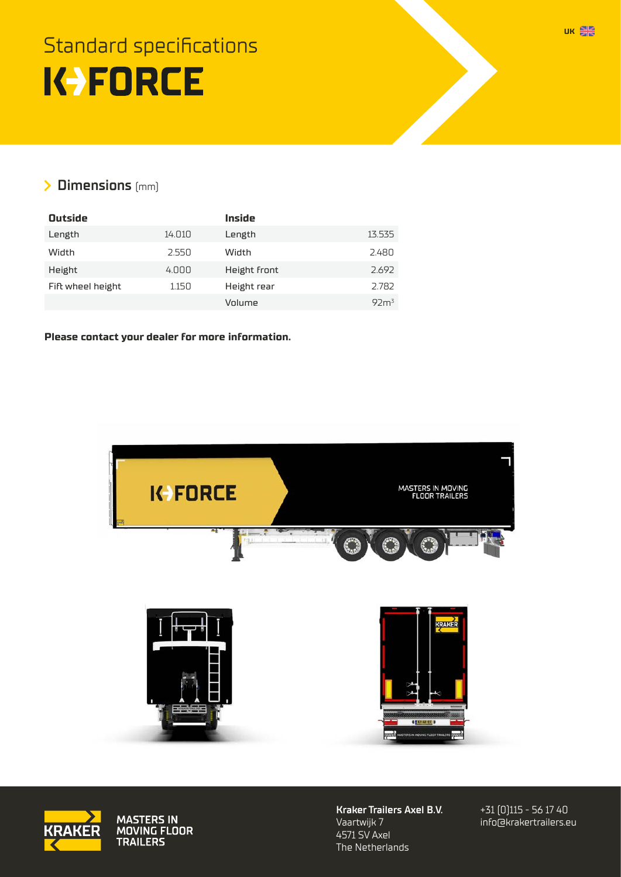## <span id="page-2-0"></span>Standard specifications **K-FORCE**

#### **Dimensions** (mm)

| <b>Outside</b>    |        | Inside       |                  |
|-------------------|--------|--------------|------------------|
| Length            | 14.010 | Length       | 13.535           |
| Width             | 2.550  | Width        | 2.480            |
| Height            | 4.000  | Height front | 2.692            |
| Fift wheel height | 1.150  | Height rear  | 2.782            |
|                   |        | Volume       | 92m <sup>3</sup> |

#### **[Please contact your dealer for more information.](http://krakertrailers.eu/en/dealers/)**





MASTERS IN<br>MOVING FLOOR<br>TRAILERS

**Kraker Trailers Axel B.V.** Vaartwijk 7 4571 SV Axel The Netherlands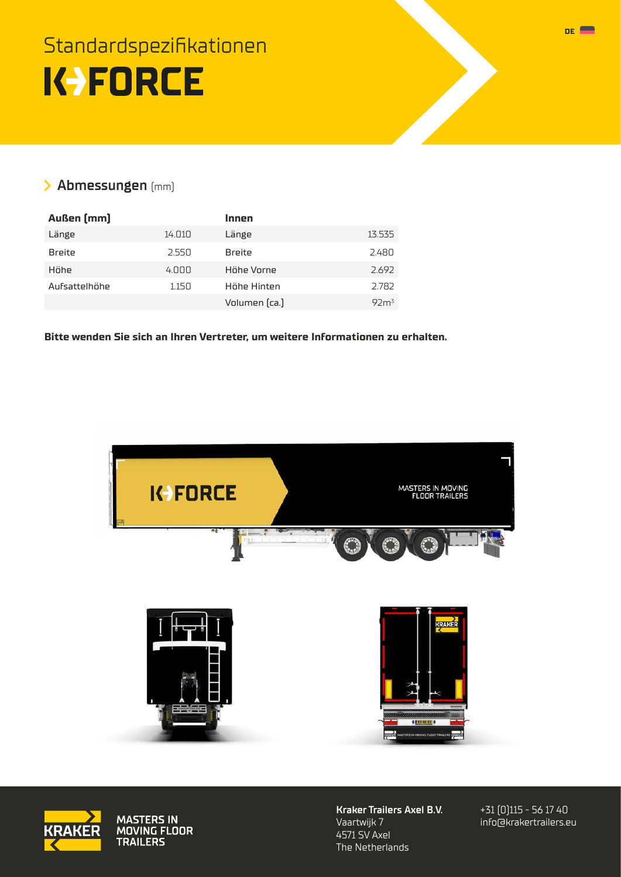## <span id="page-3-0"></span>Standardspezifikationen K-FORCE

#### **Abmessungen** (mm)

| Außen [mm]    |        | Innen         |                  |
|---------------|--------|---------------|------------------|
| Länge         | 14.010 | Länge         | 13.535           |
| <b>Breite</b> | 2.550  | <b>Breite</b> | 2.480            |
| Höhe          | 4.000  | Höhe Vorne    | 2.692            |
| Aufsattelhöhe | 1.150  | Höhe Hinten   | 2.782            |
|               |        | Volumen (ca.) | 92m <sup>3</sup> |

**[Bitte wenden Sie sich an Ihren Vertreter, um weitere Informationen zu erhalten.](https://www.krakertrailers.eu/de/kundenbetreuer/)**





MASTERS IN<br>MOVING FLOOR<br>TRAILERS

**Kraker Trailers Axel B.V.** Vaartwijk 7 4571 SV Axel The Netherlands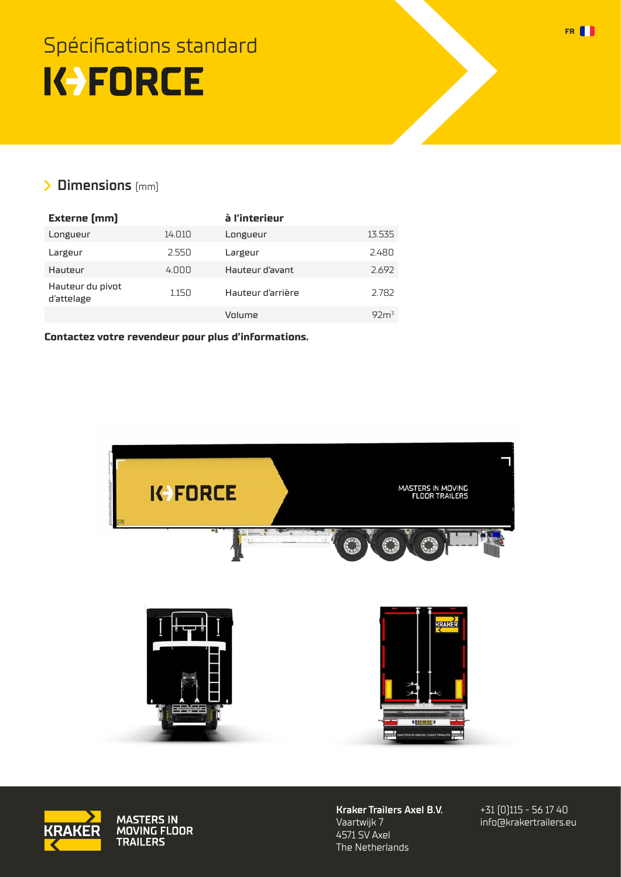## <span id="page-4-0"></span>Spécifications standard **K-FORCE**

### **Dimensions** (mm)

| <b>Externe [mm]</b>            |        | à l'interieur     |                  |
|--------------------------------|--------|-------------------|------------------|
| Longueur                       | 14.010 | Longueur          | 13.535           |
| Largeur                        | 2.550  | Largeur           | 2.480            |
| Hauteur                        | 4.000  | Hauteur d'avant   | 2.692            |
| Hauteur du pivot<br>d'attelage | 1.150  | Hauteur d'arrière | 2.782            |
|                                |        | Volume            | 92m <sup>3</sup> |

**[Contactez votre revendeur pour plus d'informations.](https://www.krakertrailers.eu/fr/revendeurs)**





MASTERS IN<br>MOVING FLOOR<br>TRAILERS

**Kraker Trailers Axel B.V.** Vaartwijk 7 4571 SV Axel The Netherlands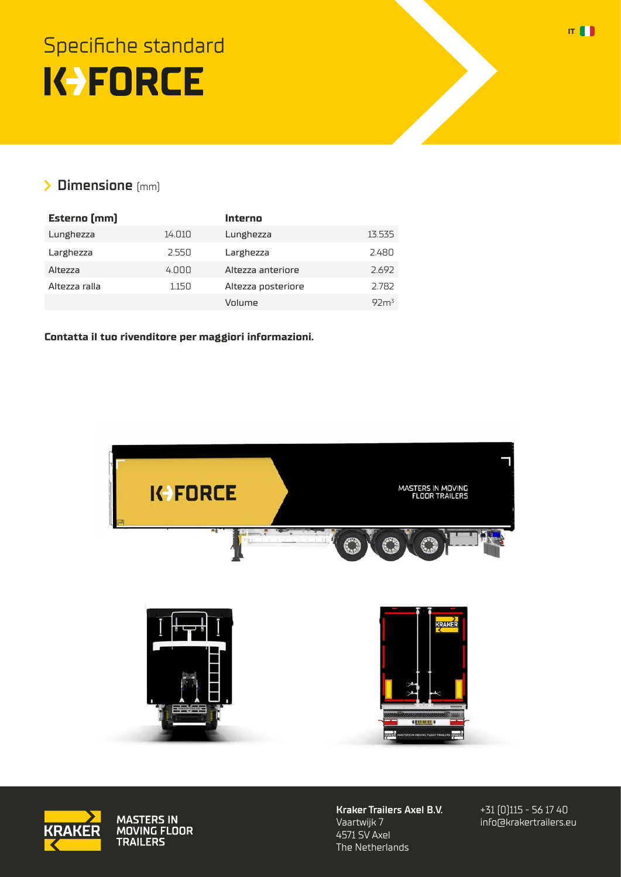## <span id="page-5-0"></span>Specifiche standard K-FORCE

### **Dimensione** (mm)

| <b>Esterno</b> [mm] |        | Interno            |                  |
|---------------------|--------|--------------------|------------------|
| Lunghezza           | 14.010 | Lunghezza          | 13.535           |
| Larghezza           | 2.550  | Larghezza          | 2.480            |
| Altezza             | 4.000  | Altezza anteriore  | 2.692            |
| Altezza ralla       | 1.150  | Altezza posteriore | 2.782            |
|                     |        | Volume             | 92m <sup>3</sup> |

**[Contatta il tuo rivenditore per maggiori informazioni.](https://www.krakertrailers.eu/it/rivenditori/)**





MASTERS IN<br>MOVING FLOOR<br>TRAILERS

**Kraker Trailers Axel B.V.** Vaartwijk 7 4571 SV Axel The Netherlands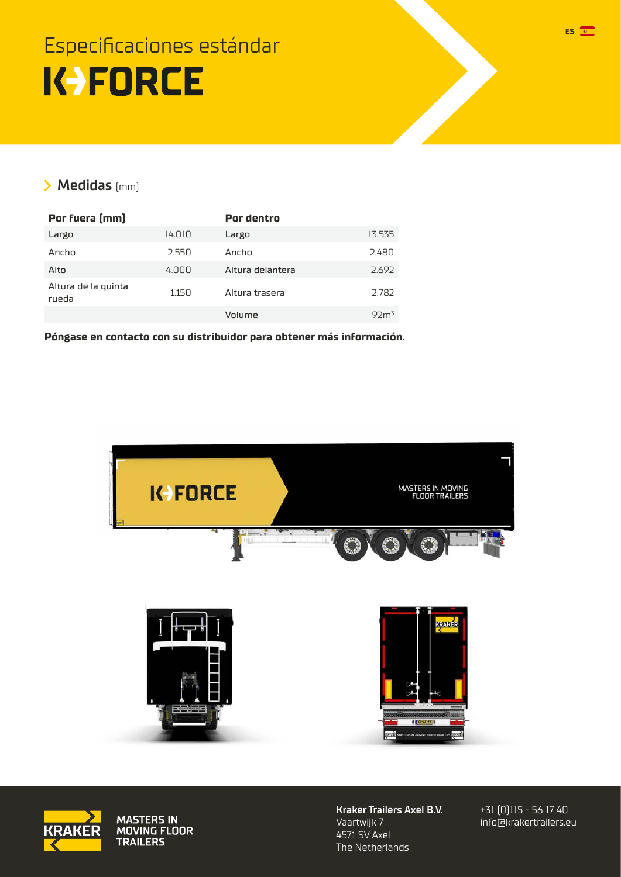### <span id="page-6-0"></span>Especificaciones estándar K-FORCE

#### **Medidas** (mm)

| Por fuera [mm]               |        | Por dentro       |                  |
|------------------------------|--------|------------------|------------------|
| Largo                        | 14.010 | Largo            | 13.535           |
| Ancho                        | 2.550  | Anrhn            | 2.480            |
| Alto                         | 4.000  | Altura delantera | 2.692            |
| Altura de la quinta<br>rueda | 1.150  | Altura trasera   | 2.782            |
|                              |        | Volume           | 92m <sup>3</sup> |

**[Póngase en contacto con su distribuidor para obtener más información.](https://www.krakertrailers.eu/es/concesionarios/)**





MASTERS IN<br>MOVING FLOOR<br>TRAILERS

**Kraker Trailers Axel B.V.** Vaartwijk 7 4571 SV Axel The Netherlands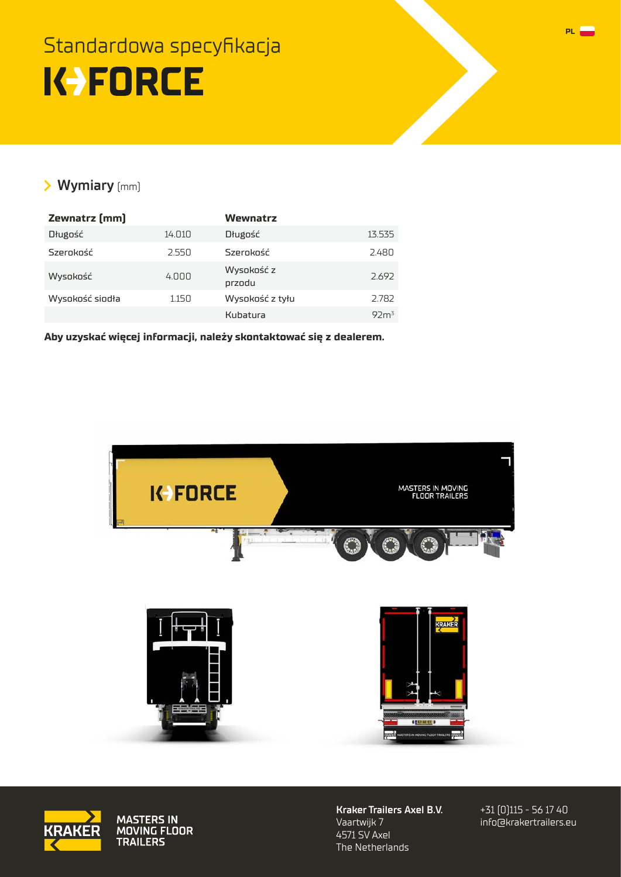### <span id="page-7-0"></span>Standardowa specyfikacja **K-FORCE**

#### **Wymiary** (mm)

| Zewnatrz [mm]   |        | Wewnatrz             |                  |
|-----------------|--------|----------------------|------------------|
| Długość         | 14.010 | Długość              | 13.535           |
| Szerokość       | 2.550  | Szerokość            | 2.480            |
| Wysokość        | 4.000  | Wysokość z<br>przodu | 2.692            |
| Wysokość siodła | 1.150  | Wysokość z tyłu      | 2.782            |
|                 |        | Kubatura             | 92m <sup>3</sup> |

**[Aby uzyskać więcej informacji, należy skontaktować się z dealerem.](https://www.krakertrailers.eu/pl/dilerzy/)**





MASTERS IN<br>MOVING FLOOR<br>TRAILERS

**Kraker Trailers Axel B.V.** Vaartwijk 7 4571 SV Axel The Netherlands

+31 (0)115 - 56 17 40 [info@krakertrailers.eu](mailto:info%40krakertrailers.eu?subject=K-Force%20Agri)

**PL**